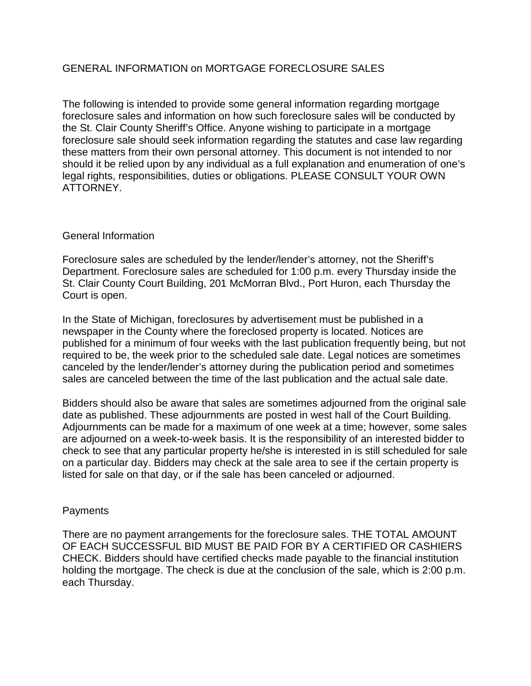# GENERAL INFORMATION on MORTGAGE FORECLOSURE SALES

The following is intended to provide some general information regarding mortgage foreclosure sales and information on how such foreclosure sales will be conducted by the St. Clair County Sheriff's Office. Anyone wishing to participate in a mortgage foreclosure sale should seek information regarding the statutes and case law regarding these matters from their own personal attorney. This document is not intended to nor should it be relied upon by any individual as a full explanation and enumeration of one's legal rights, responsibilities, duties or obligations. PLEASE CONSULT YOUR OWN ATTORNEY.

### General Information

Foreclosure sales are scheduled by the lender/lender's attorney, not the Sheriff's Department. Foreclosure sales are scheduled for 1:00 p.m. every Thursday inside the St. Clair County Court Building, 201 McMorran Blvd., Port Huron, each Thursday the Court is open.

In the State of Michigan, foreclosures by advertisement must be published in a newspaper in the County where the foreclosed property is located. Notices are published for a minimum of four weeks with the last publication frequently being, but not required to be, the week prior to the scheduled sale date. Legal notices are sometimes canceled by the lender/lender's attorney during the publication period and sometimes sales are canceled between the time of the last publication and the actual sale date.

Bidders should also be aware that sales are sometimes adjourned from the original sale date as published. These adjournments are posted in west hall of the Court Building. Adjournments can be made for a maximum of one week at a time; however, some sales are adjourned on a week-to-week basis. It is the responsibility of an interested bidder to check to see that any particular property he/she is interested in is still scheduled for sale on a particular day. Bidders may check at the sale area to see if the certain property is listed for sale on that day, or if the sale has been canceled or adjourned.

# **Payments**

There are no payment arrangements for the foreclosure sales. THE TOTAL AMOUNT OF EACH SUCCESSFUL BID MUST BE PAID FOR BY A CERTIFIED OR CASHIERS CHECK. Bidders should have certified checks made payable to the financial institution holding the mortgage. The check is due at the conclusion of the sale, which is 2:00 p.m. each Thursday.